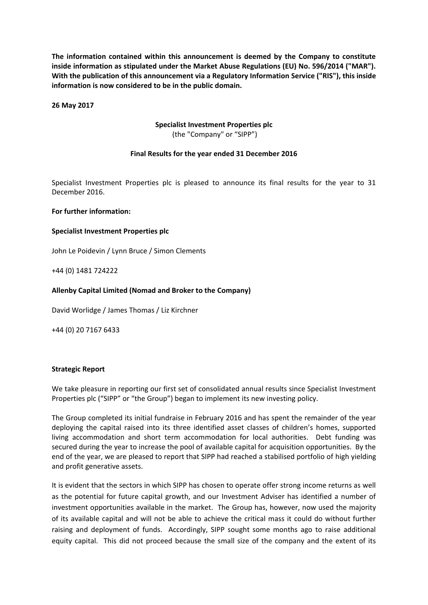**The information contained within this announcement is deemed by the Company to constitute inside information as stipulated under the Market Abuse Regulations (EU) No. 596/2014 ("MAR"). With the publication of this announcement via a Regulatory Information Service ("RIS"), this inside information is now considered to be in the public domain.**

**26 May 2017**

# **Specialist Investment Properties plc** (the "Company" or "SIPP")

# **Final Results for the year ended 31 December 2016**

Specialist Investment Properties plc is pleased to announce its final results for the year to 31 December 2016.

#### **For further information:**

#### **Specialist Investment Properties plc**

John Le Poidevin / Lynn Bruce / Simon Clements

+44 (0) 1481 724222

## **Allenby Capital Limited (Nomad and Broker to the Company)**

David Worlidge / James Thomas / Liz Kirchner

+44 (0) 20 7167 6433

#### **Strategic Report**

We take pleasure in reporting our first set of consolidated annual results since Specialist Investment Properties plc ("SIPP" or "the Group") began to implement its new investing policy.

The Group completed its initial fundraise in February 2016 and has spent the remainder of the year deploying the capital raised into its three identified asset classes of children's homes, supported living accommodation and short term accommodation for local authorities. Debt funding was secured during the year to increase the pool of available capital for acquisition opportunities. By the end of the year, we are pleased to report that SIPP had reached a stabilised portfolio of high yielding and profit generative assets.

It is evident that the sectors in which SIPP has chosen to operate offer strong income returns as well as the potential for future capital growth, and our Investment Adviser has identified a number of investment opportunities available in the market. The Group has, however, now used the majority of its available capital and will not be able to achieve the critical mass it could do without further raising and deployment of funds. Accordingly, SIPP sought some months ago to raise additional equity capital. This did not proceed because the small size of the company and the extent of its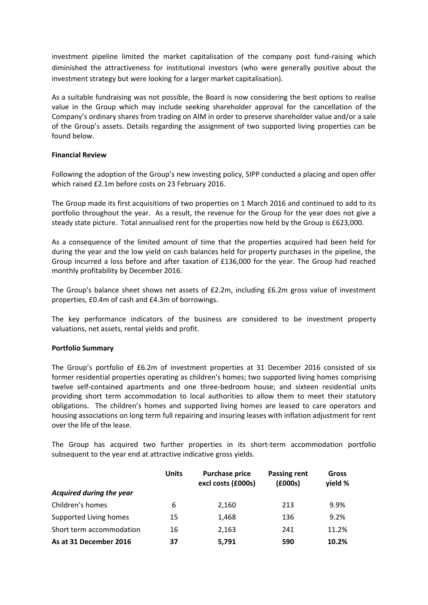investment pipeline limited the market capitalisation of the company post fund-raising which diminished the attractiveness for institutional investors (who were generally positive about the investment strategy but were looking for a larger market capitalisation).

As a suitable fundraising was not possible, the Board is now considering the best options to realise value in the Group which may include seeking shareholder approval for the cancellation of the Company's ordinary shares from trading on AIM in order to preserve shareholder value and/or a sale of the Group's assets. Details regarding the assignment of two supported living properties can be found below.

## **Financial Review**

Following the adoption of the Group's new investing policy, SIPP conducted a placing and open offer which raised £2.1m before costs on 23 February 2016.

The Group made its first acquisitions of two properties on 1 March 2016 and continued to add to its portfolio throughout the year. As a result, the revenue for the Group for the year does not give a steady state picture. Total annualised rent for the properties now held by the Group is £623,000.

As a consequence of the limited amount of time that the properties acquired had been held for during the year and the low yield on cash balances held for property purchases in the pipeline, the Group incurred a loss before and after taxation of £136,000 for the year. The Group had reached monthly profitability by December 2016.

The Group's balance sheet shows net assets of £2.2m, including £6.2m gross value of investment properties, £0.4m of cash and £4.3m of borrowings.

The key performance indicators of the business are considered to be investment property valuations, net assets, rental yields and profit.

## **Portfolio Summary**

The Group's portfolio of £6.2m of investment properties at 31 December 2016 consisted of six former residential properties operating as children's homes; two supported living homes comprising twelve self-contained apartments and one three-bedroom house; and sixteen residential units providing short term accommodation to local authorities to allow them to meet their statutory obligations. The children's homes and supported living homes are leased to care operators and housing associations on long term full repairing and insuring leases with inflation adjustment for rent over the life of the lease.

The Group has acquired two further properties in its short-term accommodation portfolio subsequent to the year end at attractive indicative gross yields.

|                          | <b>Units</b> | <b>Purchase price</b><br>excl costs (£000s) | <b>Passing rent</b><br>(£000s) | Gross<br>yield % |
|--------------------------|--------------|---------------------------------------------|--------------------------------|------------------|
| Acquired during the year |              |                                             |                                |                  |
| Children's homes         | 6            | 2,160                                       | 213                            | 9.9%             |
| Supported Living homes   | 15           | 1,468                                       | 136                            | 9.2%             |
| Short term accommodation | 16           | 2,163                                       | 241                            | 11.2%            |
| As at 31 December 2016   | 37           | 5.791                                       | 590                            | 10.2%            |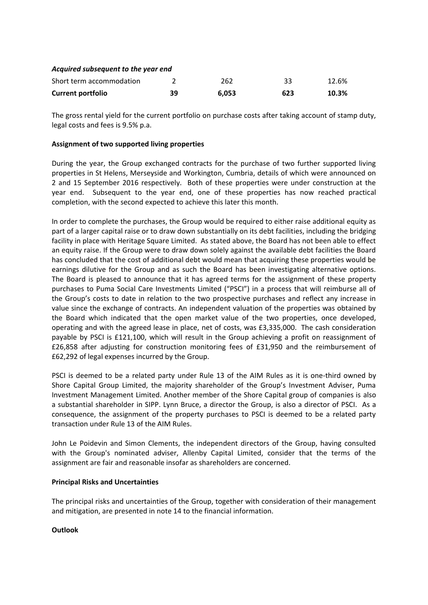| Acquired subsequent to the year end |    |       |     |       |  |  |
|-------------------------------------|----|-------|-----|-------|--|--|
| Short term accommodation            |    | 262   | 33  | 12.6% |  |  |
| <b>Current portfolio</b>            | 39 | 6.053 | 623 | 10.3% |  |  |

The gross rental yield for the current portfolio on purchase costs after taking account of stamp duty, legal costs and fees is 9.5% p.a.

# **Assignment of two supported living properties**

During the year, the Group exchanged contracts for the purchase of two further supported living properties in St Helens, Merseyside and Workington, Cumbria, details of which were announced on 2 and 15 September 2016 respectively. Both of these properties were under construction at the year end. Subsequent to the year end, one of these properties has now reached practical completion, with the second expected to achieve this later this month.

In order to complete the purchases, the Group would be required to either raise additional equity as part of a larger capital raise or to draw down substantially on its debt facilities, including the bridging facility in place with Heritage Square Limited. As stated above, the Board has not been able to effect an equity raise. If the Group were to draw down solely against the available debt facilities the Board has concluded that the cost of additional debt would mean that acquiring these properties would be earnings dilutive for the Group and as such the Board has been investigating alternative options. The Board is pleased to announce that it has agreed terms for the assignment of these property purchases to Puma Social Care Investments Limited ("PSCI") in a process that will reimburse all of the Group's costs to date in relation to the two prospective purchases and reflect any increase in value since the exchange of contracts. An independent valuation of the properties was obtained by the Board which indicated that the open market value of the two properties, once developed, operating and with the agreed lease in place, net of costs, was £3,335,000. The cash consideration payable by PSCI is £121,100, which will result in the Group achieving a profit on reassignment of £26,858 after adjusting for construction monitoring fees of £31,950 and the reimbursement of £62,292 of legal expenses incurred by the Group.

PSCI is deemed to be a related party under Rule 13 of the AIM Rules as it is one-third owned by Shore Capital Group Limited, the majority shareholder of the Group's Investment Adviser, Puma Investment Management Limited. Another member of the Shore Capital group of companies is also a substantial shareholder in SIPP. Lynn Bruce, a director the Group, is also a director of PSCI. As a consequence, the assignment of the property purchases to PSCI is deemed to be a related party transaction under Rule 13 of the AIM Rules.

John Le Poidevin and Simon Clements, the independent directors of the Group, having consulted with the Group's nominated adviser, Allenby Capital Limited, consider that the terms of the assignment are fair and reasonable insofar as shareholders are concerned.

## **Principal Risks and Uncertainties**

The principal risks and uncertainties of the Group, together with consideration of their management and mitigation, are presented in note 14 to the financial information.

## **Outlook**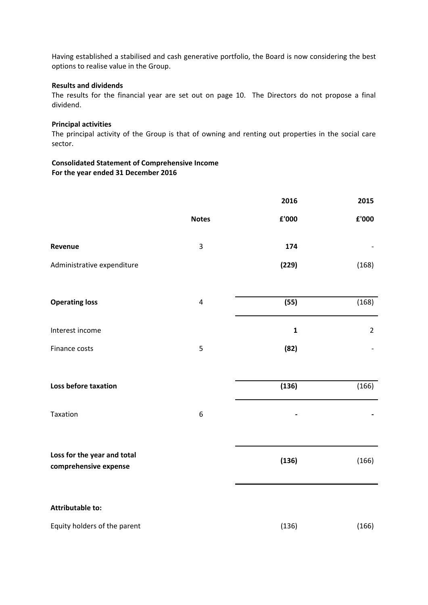Having established a stabilised and cash generative portfolio, the Board is now considering the best options to realise value in the Group.

#### **Results and dividends**

The results for the financial year are set out on page 10. The Directors do not propose a final dividend.

# **Principal activities**

The principal activity of the Group is that of owning and renting out properties in the social care sector.

**Consolidated Statement of Comprehensive Income For the year ended 31 December 2016**

|                                                      |                         | 2016           | 2015           |
|------------------------------------------------------|-------------------------|----------------|----------------|
|                                                      | <b>Notes</b>            | ${\bf f}$ '000 | £'000          |
| Revenue                                              | $\mathsf 3$             | 174            |                |
| Administrative expenditure                           |                         | (229)          | (168)          |
|                                                      |                         |                |                |
| <b>Operating loss</b>                                | $\overline{\mathbf{r}}$ | (55)           | (168)          |
| Interest income                                      |                         | $\mathbf 1$    | $\overline{2}$ |
| Finance costs                                        | 5                       | (82)           |                |
|                                                      |                         |                |                |
| Loss before taxation                                 |                         | (136)          | (166)          |
| Taxation                                             | 6                       |                |                |
|                                                      |                         |                |                |
| Loss for the year and total<br>comprehensive expense |                         | (136)          | (166)          |
|                                                      |                         |                |                |
| <b>Attributable to:</b>                              |                         |                |                |
| Equity holders of the parent                         |                         | (136)          | (166)          |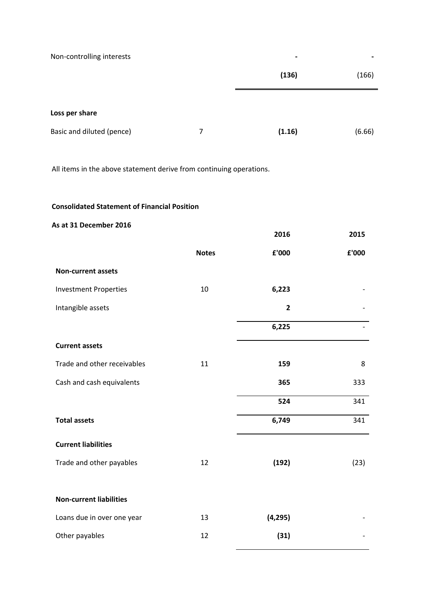| Non-controlling interests |   | -      | ۰      |
|---------------------------|---|--------|--------|
|                           |   | (136)  | (166)  |
| Loss per share            |   |        |        |
| Basic and diluted (pence) | 7 | (1.16) | (6.66) |

All items in the above statement derive from continuing operations.

# **Consolidated Statement of Financial Position**

# **As at 31 December 2016**

|                                |              | 2016         | 2015  |
|--------------------------------|--------------|--------------|-------|
|                                | <b>Notes</b> | £'000        | £'000 |
| <b>Non-current assets</b>      |              |              |       |
| <b>Investment Properties</b>   | 10           | 6,223        |       |
| Intangible assets              |              | $\mathbf{2}$ |       |
|                                |              | 6,225        |       |
| <b>Current assets</b>          |              |              |       |
| Trade and other receivables    | 11           | 159          | 8     |
| Cash and cash equivalents      |              | 365          | 333   |
|                                |              | 524          | 341   |
| <b>Total assets</b>            |              | 6,749        | 341   |
| <b>Current liabilities</b>     |              |              |       |
| Trade and other payables       | 12           | (192)        | (23)  |
|                                |              |              |       |
| <b>Non-current liabilities</b> |              |              |       |
| Loans due in over one year     | 13           | (4, 295)     |       |
| Other payables                 | 12           | (31)         |       |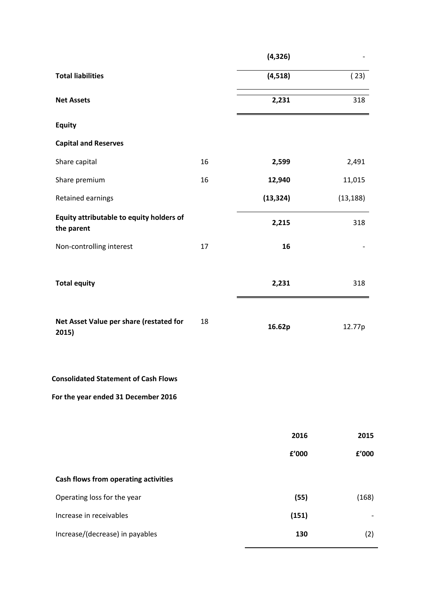|                                                        |    | (4, 326)  |           |
|--------------------------------------------------------|----|-----------|-----------|
| <b>Total liabilities</b>                               |    | (4, 518)  | (23)      |
| <b>Net Assets</b>                                      |    | 2,231     | 318       |
| <b>Equity</b>                                          |    |           |           |
| <b>Capital and Reserves</b>                            |    |           |           |
| Share capital                                          | 16 | 2,599     | 2,491     |
| Share premium                                          | 16 | 12,940    | 11,015    |
| Retained earnings                                      |    | (13, 324) | (13, 188) |
| Equity attributable to equity holders of<br>the parent |    | 2,215     | 318       |
| Non-controlling interest                               | 17 | 16        |           |
| <b>Total equity</b>                                    |    | 2,231     | 318       |
| Net Asset Value per share (restated for<br>2015)       | 18 | 16.62p    | 12.77p    |
| <b>Consolidated Statement of Cash Flows</b>            |    |           |           |
| For the year ended 31 December 2016                    |    |           |           |
|                                                        |    | 2016      | 2015      |
|                                                        |    | £'000     | £'000     |
| Cash flows from operating activities                   |    |           |           |
| Operating loss for the year                            |    | (55)      | (168)     |
| Increase in receivables                                |    | (151)     |           |
| Increase/(decrease) in payables                        |    | 130       | (2)       |
|                                                        |    |           |           |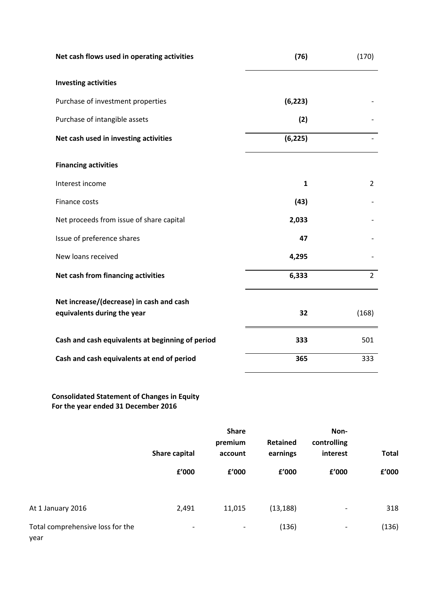| Net cash flows used in operating activities      | (76)     | (170)          |
|--------------------------------------------------|----------|----------------|
| <b>Investing activities</b>                      |          |                |
| Purchase of investment properties                | (6, 223) |                |
| Purchase of intangible assets                    | (2)      |                |
| Net cash used in investing activities            | (6, 225) |                |
| <b>Financing activities</b>                      |          |                |
| Interest income                                  | 1        | $\overline{2}$ |
| Finance costs                                    | (43)     |                |
| Net proceeds from issue of share capital         | 2,033    |                |
| Issue of preference shares                       | 47       |                |
| New loans received                               | 4,295    |                |
| Net cash from financing activities               | 6,333    | $\overline{2}$ |
| Net increase/(decrease) in cash and cash         |          |                |
| equivalents during the year                      | 32       | (168)          |
| Cash and cash equivalents at beginning of period | 333      | 501            |
| Cash and cash equivalents at end of period       | 365      | 333            |

# **Consolidated Statement of Changes in Equity For the year ended 31 December 2016**

|                                          | <b>Share</b><br>premium<br>Share capital<br>account |                          |           | <b>Retained</b><br>controlling<br>interest<br>earnings |       | <b>Total</b> |
|------------------------------------------|-----------------------------------------------------|--------------------------|-----------|--------------------------------------------------------|-------|--------------|
|                                          | £'000                                               | £'000                    | £'000     | f'000                                                  | £'000 |              |
| At 1 January 2016                        | 2,491                                               | 11,015                   | (13, 188) | -                                                      | 318   |              |
| Total comprehensive loss for the<br>year | $\overline{\phantom{a}}$                            | $\overline{\phantom{a}}$ | (136)     | -                                                      | (136) |              |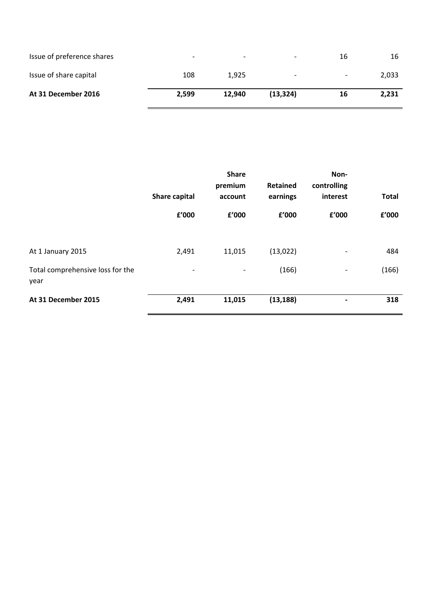| Issue of preference shares | $\overline{\phantom{0}}$ | $\overline{\phantom{0}}$ | $\overline{\phantom{0}}$ | 16                       | 16    |
|----------------------------|--------------------------|--------------------------|--------------------------|--------------------------|-------|
| Issue of share capital     | 108                      | 1,925                    | $\overline{\phantom{0}}$ | $\overline{\phantom{0}}$ | 2,033 |
| At 31 December 2016        | 2,599                    | 12.940                   | (13, 324)                | 16                       | 2,231 |

|                                          | Share capital | <b>Share</b><br>premium<br>account | Retained<br>earnings | Non-<br>controlling<br>interest | <b>Total</b> |
|------------------------------------------|---------------|------------------------------------|----------------------|---------------------------------|--------------|
|                                          | f'000         | £'000                              | £'000                | £'000                           | £'000        |
| At 1 January 2015                        | 2,491         | 11,015                             | (13,022)             | $\overline{\phantom{0}}$        | 484          |
| Total comprehensive loss for the<br>year | -             | $\overline{\phantom{a}}$           | (166)                | -                               | (166)        |
| At 31 December 2015                      | 2,491         | 11,015                             | (13, 188)            | $\blacksquare$                  | 318          |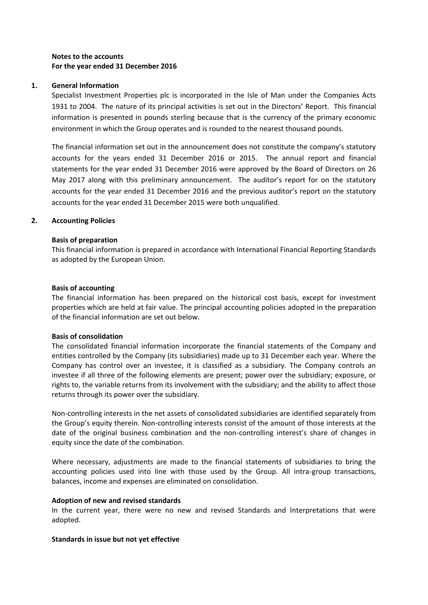# **Notes to the accounts For the year ended 31 December 2016**

# **1. General Information**

Specialist Investment Properties plc is incorporated in the Isle of Man under the Companies Acts 1931 to 2004. The nature of its principal activities is set out in the Directors' Report. This financial information is presented in pounds sterling because that is the currency of the primary economic environment in which the Group operates and is rounded to the nearest thousand pounds.

The financial information set out in the announcement does not constitute the company's statutory accounts for the years ended 31 December 2016 or 2015. The annual report and financial statements for the year ended 31 December 2016 were approved by the Board of Directors on 26 May 2017 along with this preliminary announcement. The auditor's report for on the statutory accounts for the year ended 31 December 2016 and the previous auditor's report on the statutory accounts for the year ended 31 December 2015 were both unqualified.

# **2. Accounting Policies**

## **Basis of preparation**

This financial information is prepared in accordance with International Financial Reporting Standards as adopted by the European Union.

## **Basis of accounting**

The financial information has been prepared on the historical cost basis, except for investment properties which are held at fair value. The principal accounting policies adopted in the preparation of the financial information are set out below.

## **Basis of consolidation**

The consolidated financial information incorporate the financial statements of the Company and entities controlled by the Company (its subsidiaries) made up to 31 December each year. Where the Company has control over an investee, it is classified as a subsidiary. The Company controls an investee if all three of the following elements are present; power over the subsidiary; exposure, or rights to, the variable returns from its involvement with the subsidiary; and the ability to affect those returns through its power over the subsidiary.

Non-controlling interests in the net assets of consolidated subsidiaries are identified separately from the Group's equity therein. Non-controlling interests consist of the amount of those interests at the date of the original business combination and the non-controlling interest's share of changes in equity since the date of the combination.

Where necessary, adjustments are made to the financial statements of subsidiaries to bring the accounting policies used into line with those used by the Group. All intra-group transactions, balances, income and expenses are eliminated on consolidation.

## **Adoption of new and revised standards**

In the current year, there were no new and revised Standards and Interpretations that were adopted.

## **Standards in issue but not yet effective**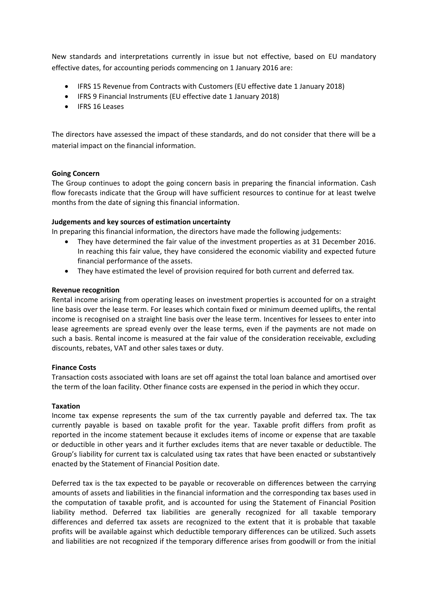New standards and interpretations currently in issue but not effective, based on EU mandatory effective dates, for accounting periods commencing on 1 January 2016 are:

- IFRS 15 Revenue from Contracts with Customers (EU effective date 1 January 2018)
- IFRS 9 Financial Instruments (EU effective date 1 January 2018)
- IFRS 16 Leases

The directors have assessed the impact of these standards, and do not consider that there will be a material impact on the financial information.

## **Going Concern**

The Group continues to adopt the going concern basis in preparing the financial information. Cash flow forecasts indicate that the Group will have sufficient resources to continue for at least twelve months from the date of signing this financial information.

#### **Judgements and key sources of estimation uncertainty**

In preparing this financial information, the directors have made the following judgements:

- They have determined the fair value of the investment properties as at 31 December 2016. In reaching this fair value, they have considered the economic viability and expected future financial performance of the assets.
- They have estimated the level of provision required for both current and deferred tax.

#### **Revenue recognition**

Rental income arising from operating leases on investment properties is accounted for on a straight line basis over the lease term. For leases which contain fixed or minimum deemed uplifts, the rental income is recognised on a straight line basis over the lease term. Incentives for lessees to enter into lease agreements are spread evenly over the lease terms, even if the payments are not made on such a basis. Rental income is measured at the fair value of the consideration receivable, excluding discounts, rebates, VAT and other sales taxes or duty.

## **Finance Costs**

Transaction costs associated with loans are set off against the total loan balance and amortised over the term of the loan facility. Other finance costs are expensed in the period in which they occur.

#### **Taxation**

Income tax expense represents the sum of the tax currently payable and deferred tax. The tax currently payable is based on taxable profit for the year. Taxable profit differs from profit as reported in the income statement because it excludes items of income or expense that are taxable or deductible in other years and it further excludes items that are never taxable or deductible. The Group's liability for current tax is calculated using tax rates that have been enacted or substantively enacted by the Statement of Financial Position date.

Deferred tax is the tax expected to be payable or recoverable on differences between the carrying amounts of assets and liabilities in the financial information and the corresponding tax bases used in the computation of taxable profit, and is accounted for using the Statement of Financial Position liability method. Deferred tax liabilities are generally recognized for all taxable temporary differences and deferred tax assets are recognized to the extent that it is probable that taxable profits will be available against which deductible temporary differences can be utilized. Such assets and liabilities are not recognized if the temporary difference arises from goodwill or from the initial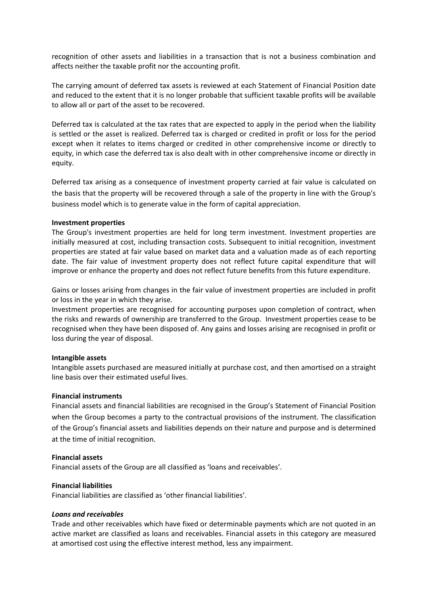recognition of other assets and liabilities in a transaction that is not a business combination and affects neither the taxable profit nor the accounting profit.

The carrying amount of deferred tax assets is reviewed at each Statement of Financial Position date and reduced to the extent that it is no longer probable that sufficient taxable profits will be available to allow all or part of the asset to be recovered.

Deferred tax is calculated at the tax rates that are expected to apply in the period when the liability is settled or the asset is realized. Deferred tax is charged or credited in profit or loss for the period except when it relates to items charged or credited in other comprehensive income or directly to equity, in which case the deferred tax is also dealt with in other comprehensive income or directly in equity.

Deferred tax arising as a consequence of investment property carried at fair value is calculated on the basis that the property will be recovered through a sale of the property in line with the Group's business model which is to generate value in the form of capital appreciation.

#### **Investment properties**

The Group's investment properties are held for long term investment. Investment properties are initially measured at cost, including transaction costs. Subsequent to initial recognition, investment properties are stated at fair value based on market data and a valuation made as of each reporting date. The fair value of investment property does not reflect future capital expenditure that will improve or enhance the property and does not reflect future benefits from this future expenditure.

Gains or losses arising from changes in the fair value of investment properties are included in profit or loss in the year in which they arise.

Investment properties are recognised for accounting purposes upon completion of contract, when the risks and rewards of ownership are transferred to the Group. Investment properties cease to be recognised when they have been disposed of. Any gains and losses arising are recognised in profit or loss during the year of disposal.

## **Intangible assets**

Intangible assets purchased are measured initially at purchase cost, and then amortised on a straight line basis over their estimated useful lives.

## **Financial instruments**

Financial assets and financial liabilities are recognised in the Group's Statement of Financial Position when the Group becomes a party to the contractual provisions of the instrument. The classification of the Group's financial assets and liabilities depends on their nature and purpose and is determined at the time of initial recognition.

#### **Financial assets**

Financial assets of the Group are all classified as 'loans and receivables'.

## **Financial liabilities**

Financial liabilities are classified as 'other financial liabilities'.

#### *Loans and receivables*

Trade and other receivables which have fixed or determinable payments which are not quoted in an active market are classified as loans and receivables. Financial assets in this category are measured at amortised cost using the effective interest method, less any impairment.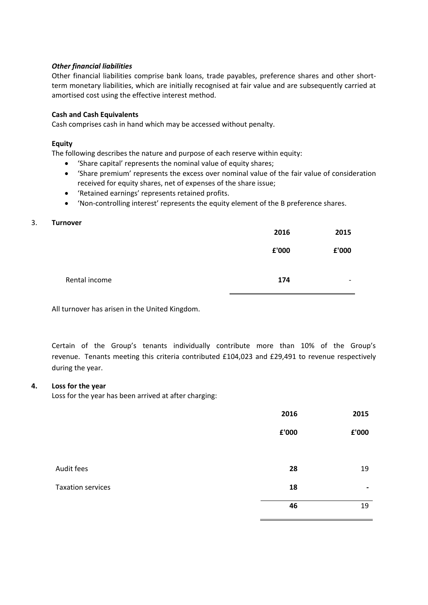# *Other financial liabilities*

Other financial liabilities comprise bank loans, trade payables, preference shares and other shortterm monetary liabilities, which are initially recognised at fair value and are subsequently carried at amortised cost using the effective interest method.

## **Cash and Cash Equivalents**

Cash comprises cash in hand which may be accessed without penalty.

#### **Equity**

The following describes the nature and purpose of each reserve within equity:

- 'Share capital' represents the nominal value of equity shares;
- 'Share premium' represents the excess over nominal value of the fair value of consideration received for equity shares, net of expenses of the share issue;
- 'Retained earnings' represents retained profits.
- 'Non-controlling interest' represents the equity element of the B preference shares.

#### 3. **Turnover**

|               | 2016  | 2015                     |
|---------------|-------|--------------------------|
|               | £'000 | £'000                    |
| Rental income | 174   | $\overline{\phantom{0}}$ |

All turnover has arisen in the United Kingdom.

Certain of the Group's tenants individually contribute more than 10% of the Group's revenue. Tenants meeting this criteria contributed £104,023 and £29,491 to revenue respectively during the year.

## **4. Loss for the year**

Loss for the year has been arrived at after charging:

|                          | 2016  | 2015  |
|--------------------------|-------|-------|
|                          | £'000 | £'000 |
|                          |       |       |
| Audit fees               | 28    | 19    |
| <b>Taxation services</b> | 18    | ٠     |
|                          | 46    | 19    |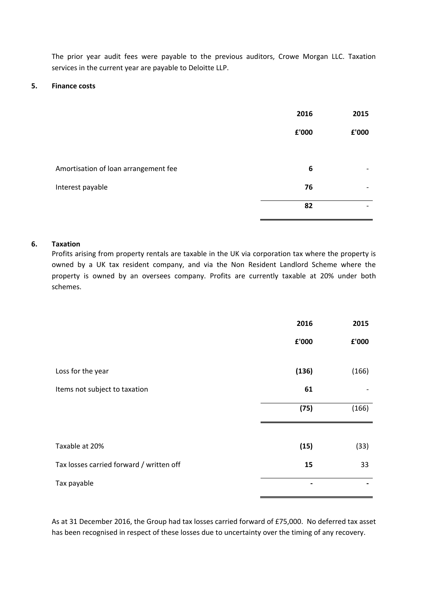The prior year audit fees were payable to the previous auditors, Crowe Morgan LLC. Taxation services in the current year are payable to Deloitte LLP.

#### **5. Finance costs**

|                                      | 2016  | 2015                     |
|--------------------------------------|-------|--------------------------|
|                                      | £'000 | £'000                    |
|                                      |       |                          |
| Amortisation of loan arrangement fee | 6     | $\overline{\phantom{0}}$ |
| Interest payable                     | 76    | $\overline{\phantom{0}}$ |
|                                      | 82    |                          |

# **6. Taxation**

Profits arising from property rentals are taxable in the UK via corporation tax where the property is owned by a UK tax resident company, and via the Non Resident Landlord Scheme where the property is owned by an oversees company. Profits are currently taxable at 20% under both schemes.

|                                          | 2016  | 2015  |
|------------------------------------------|-------|-------|
|                                          | £'000 | £'000 |
| Loss for the year                        | (136) | (166) |
| Items not subject to taxation            | 61    |       |
|                                          | (75)  | (166) |
|                                          |       |       |
| Taxable at 20%                           | (15)  | (33)  |
| Tax losses carried forward / written off | 15    | 33    |
| Tax payable                              |       |       |

As at 31 December 2016, the Group had tax losses carried forward of £75,000. No deferred tax asset has been recognised in respect of these losses due to uncertainty over the timing of any recovery.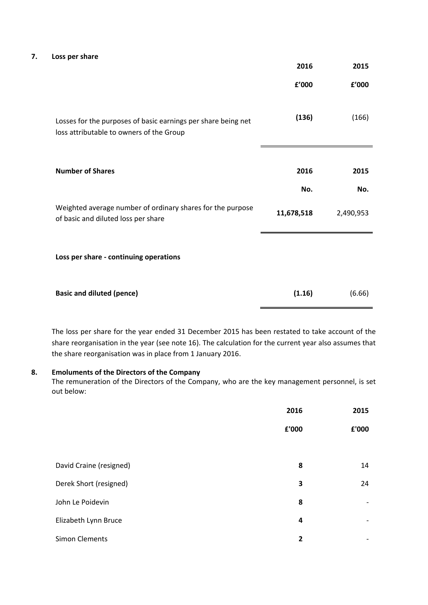#### **7. Loss per share**

|                                                                                                           | 2016       | 2015      |
|-----------------------------------------------------------------------------------------------------------|------------|-----------|
|                                                                                                           | £'000      | £'000     |
| Losses for the purposes of basic earnings per share being net<br>loss attributable to owners of the Group | (136)      | (166)     |
| <b>Number of Shares</b>                                                                                   | 2016       | 2015      |
|                                                                                                           | No.        | No.       |
| Weighted average number of ordinary shares for the purpose<br>of basic and diluted loss per share         | 11,678,518 | 2,490,953 |
| Loss per share - continuing operations                                                                    |            |           |
| <b>Basic and diluted (pence)</b>                                                                          | (1.16)     | (6.66)    |

The loss per share for the year ended 31 December 2015 has been restated to take account of the share reorganisation in the year (see note 16). The calculation for the current year also assumes that the share reorganisation was in place from 1 January 2016.

#### **8. Emoluments of the Directors of the Company**

The remuneration of the Directors of the Company, who are the key management personnel, is set out below:

|                         | 2016  | 2015                     |
|-------------------------|-------|--------------------------|
|                         | £'000 | £'000                    |
|                         |       |                          |
| David Craine (resigned) | 8     | 14                       |
| Derek Short (resigned)  | 3     | 24                       |
| John Le Poidevin        | 8     | -                        |
| Elizabeth Lynn Bruce    | 4     | $\overline{\phantom{a}}$ |
| Simon Clements          | 2     | $\overline{\phantom{a}}$ |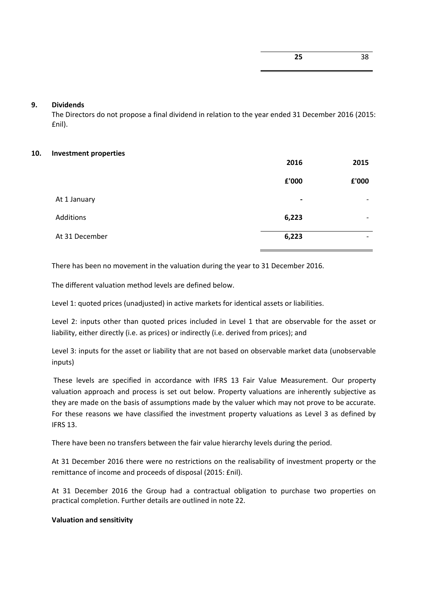# **9. Dividends**

The Directors do not propose a final dividend in relation to the year ended 31 December 2016 (2015: £nil).

## **10. Investment properties**

|                  | 2016           | 2015                     |
|------------------|----------------|--------------------------|
|                  | £'000          | £'000                    |
| At 1 January     | $\blacksquare$ | $\overline{\phantom{a}}$ |
| <b>Additions</b> | 6,223          | $\overline{\phantom{a}}$ |
| At 31 December   | 6,223          | $\overline{\phantom{0}}$ |

There has been no movement in the valuation during the year to 31 December 2016.

The different valuation method levels are defined below.

Level 1: quoted prices (unadjusted) in active markets for identical assets or liabilities.

Level 2: inputs other than quoted prices included in Level 1 that are observable for the asset or liability, either directly (i.e. as prices) or indirectly (i.e. derived from prices); and

Level 3: inputs for the asset or liability that are not based on observable market data (unobservable inputs)

These levels are specified in accordance with IFRS 13 Fair Value Measurement. Our property valuation approach and process is set out below. Property valuations are inherently subjective as they are made on the basis of assumptions made by the valuer which may not prove to be accurate. For these reasons we have classified the investment property valuations as Level 3 as defined by IFRS 13.

There have been no transfers between the fair value hierarchy levels during the period.

At 31 December 2016 there were no restrictions on the realisability of investment property or the remittance of income and proceeds of disposal (2015: £nil).

At 31 December 2016 the Group had a contractual obligation to purchase two properties on practical completion. Further details are outlined in note 22.

## **Valuation and sensitivity**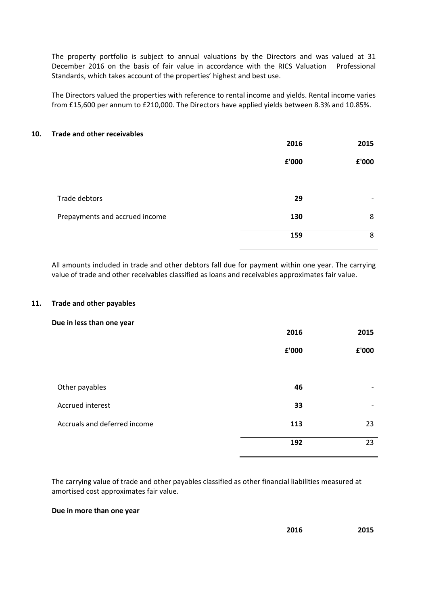The property portfolio is subject to annual valuations by the Directors and was valued at 31 December 2016 on the basis of fair value in accordance with the RICS Valuation Professional Standards, which takes account of the properties' highest and best use.

The Directors valued the properties with reference to rental income and yields. Rental income varies from £15,600 per annum to £210,000. The Directors have applied yields between 8.3% and 10.85%.

#### **10. Trade and other receivables**

|                                | 2016  | 2015                     |
|--------------------------------|-------|--------------------------|
|                                | £'000 | £'000                    |
| Trade debtors                  | 29    | $\overline{\phantom{0}}$ |
| Prepayments and accrued income | 130   | 8                        |
|                                | 159   | 8                        |

All amounts included in trade and other debtors fall due for payment within one year. The carrying value of trade and other receivables classified as loans and receivables approximates fair value.

#### **11. Trade and other payables**

#### **Due in less than one year**

|                              | 2016  | 2015                     |
|------------------------------|-------|--------------------------|
|                              | £'000 | £'000                    |
|                              |       |                          |
| Other payables               | 46    |                          |
| Accrued interest             | 33    | $\overline{\phantom{a}}$ |
| Accruals and deferred income | 113   | 23                       |
|                              | 192   | 23                       |

The carrying value of trade and other payables classified as other financial liabilities measured at amortised cost approximates fair value.

#### **Due in more than one year**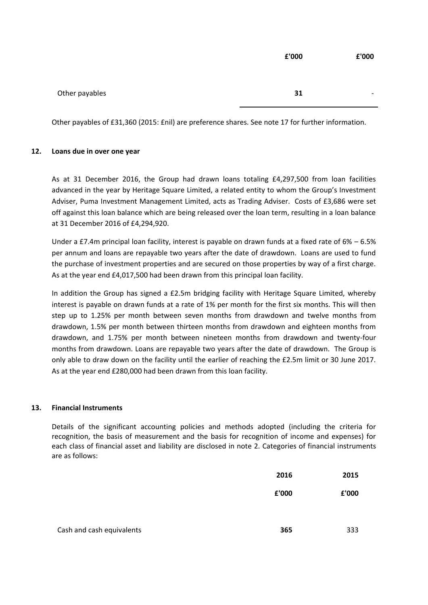|                | £'000 | £'000                    |
|----------------|-------|--------------------------|
|                |       |                          |
| Other payables | 31    | $\overline{\phantom{0}}$ |

Other payables of £31,360 (2015: £nil) are preference shares. See note 17 for further information.

# **12. Loans due in over one year**

As at 31 December 2016, the Group had drawn loans totaling £4,297,500 from loan facilities advanced in the year by Heritage Square Limited, a related entity to whom the Group's Investment Adviser, Puma Investment Management Limited, acts as Trading Adviser. Costs of £3,686 were set off against this loan balance which are being released over the loan term, resulting in a loan balance at 31 December 2016 of £4,294,920.

Under a £7.4m principal loan facility, interest is payable on drawn funds at a fixed rate of 6% – 6.5% per annum and loans are repayable two years after the date of drawdown. Loans are used to fund the purchase of investment properties and are secured on those properties by way of a first charge. As at the year end £4,017,500 had been drawn from this principal loan facility.

In addition the Group has signed a £2.5m bridging facility with Heritage Square Limited, whereby interest is payable on drawn funds at a rate of 1% per month for the first six months. This will then step up to 1.25% per month between seven months from drawdown and twelve months from drawdown, 1.5% per month between thirteen months from drawdown and eighteen months from drawdown, and 1.75% per month between nineteen months from drawdown and twenty-four months from drawdown. Loans are repayable two years after the date of drawdown. The Group is only able to draw down on the facility until the earlier of reaching the £2.5m limit or 30 June 2017. As at the year end £280,000 had been drawn from this loan facility.

## **13. Financial Instruments**

Details of the significant accounting policies and methods adopted (including the criteria for recognition, the basis of measurement and the basis for recognition of income and expenses) for each class of financial asset and liability are disclosed in note 2. Categories of financial instruments are as follows:

|                           | 2016  | 2015  |
|---------------------------|-------|-------|
|                           | £'000 | £'000 |
|                           |       |       |
| Cash and cash equivalents | 365   | 333   |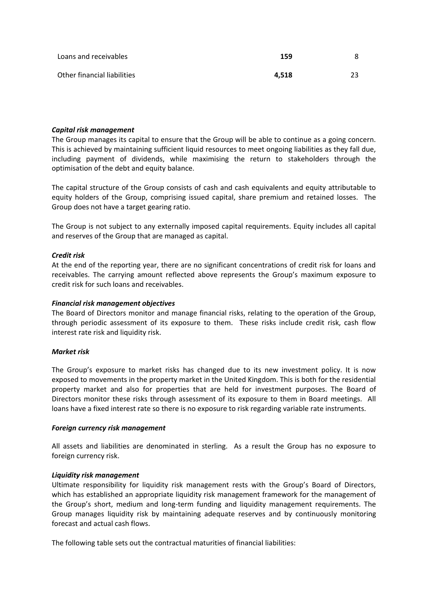| Loans and receivables       | 159   |  |
|-----------------------------|-------|--|
| Other financial liabilities | 4.518 |  |

#### *Capital risk management*

The Group manages its capital to ensure that the Group will be able to continue as a going concern. This is achieved by maintaining sufficient liquid resources to meet ongoing liabilities as they fall due, including payment of dividends, while maximising the return to stakeholders through the optimisation of the debt and equity balance.

The capital structure of the Group consists of cash and cash equivalents and equity attributable to equity holders of the Group, comprising issued capital, share premium and retained losses. The Group does not have a target gearing ratio.

The Group is not subject to any externally imposed capital requirements. Equity includes all capital and reserves of the Group that are managed as capital.

#### *Credit risk*

At the end of the reporting year, there are no significant concentrations of credit risk for loans and receivables. The carrying amount reflected above represents the Group's maximum exposure to credit risk for such loans and receivables.

#### *Financial risk management objectives*

The Board of Directors monitor and manage financial risks, relating to the operation of the Group, through periodic assessment of its exposure to them. These risks include credit risk, cash flow interest rate risk and liquidity risk.

#### *Market risk*

The Group's exposure to market risks has changed due to its new investment policy. It is now exposed to movements in the property market in the United Kingdom. This is both for the residential property market and also for properties that are held for investment purposes. The Board of Directors monitor these risks through assessment of its exposure to them in Board meetings. All loans have a fixed interest rate so there is no exposure to risk regarding variable rate instruments.

#### *Foreign currency risk management*

All assets and liabilities are denominated in sterling. As a result the Group has no exposure to foreign currency risk.

## *Liquidity risk management*

Ultimate responsibility for liquidity risk management rests with the Group's Board of Directors, which has established an appropriate liquidity risk management framework for the management of the Group's short, medium and long-term funding and liquidity management requirements. The Group manages liquidity risk by maintaining adequate reserves and by continuously monitoring forecast and actual cash flows.

The following table sets out the contractual maturities of financial liabilities: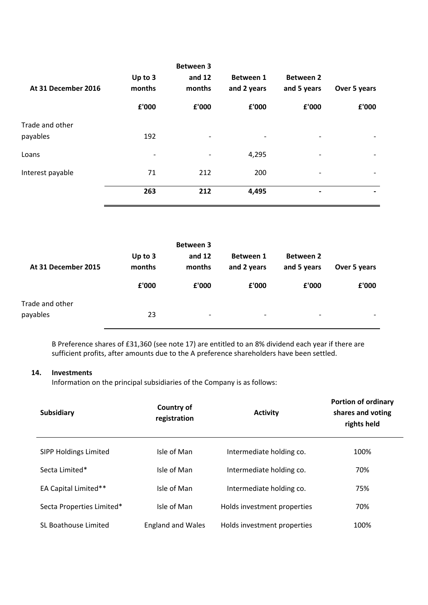| At 31 December 2016         | Up to 3<br>months | <b>Between 3</b><br>and $12$<br>months | Between 1<br>and 2 years | <b>Between 2</b><br>and 5 years | Over 5 years |
|-----------------------------|-------------------|----------------------------------------|--------------------------|---------------------------------|--------------|
|                             | £'000             | £'000                                  | £'000                    | £'000                           | £'000        |
| Trade and other<br>payables | 192               | $\overline{\phantom{a}}$               |                          | $\qquad \qquad \blacksquare$    |              |
| Loans                       | -                 | $\overline{\phantom{a}}$               | 4,295                    | $\qquad \qquad \blacksquare$    | -            |
| Interest payable            | 71                | 212                                    | 200                      | $\qquad \qquad \blacksquare$    |              |
|                             | 263               | 212                                    | 4,495                    | $\qquad \qquad \blacksquare$    | -            |

| At 31 December 2015         | Up to 3<br>months<br>£'000 | <b>Between 3</b><br>and $12$<br>months<br>£'000 | <b>Between 1</b><br>and 2 years<br>£'000 | <b>Between 2</b><br>and 5 years<br>£'000 | Over 5 years<br>£'000    |
|-----------------------------|----------------------------|-------------------------------------------------|------------------------------------------|------------------------------------------|--------------------------|
| Trade and other<br>payables | 23                         | $\overline{\phantom{a}}$                        | -                                        | $\overline{\phantom{a}}$                 | $\overline{\phantom{a}}$ |

B Preference shares of £31,360 (see note 17) are entitled to an 8% dividend each year if there are sufficient profits, after amounts due to the A preference shareholders have been settled.

# **14. Investments**

Information on the principal subsidiaries of the Company is as follows:

| <b>Subsidiary</b>           | <b>Country of</b><br>registration | <b>Activity</b>             | <b>Portion of ordinary</b><br>shares and voting<br>rights held |
|-----------------------------|-----------------------------------|-----------------------------|----------------------------------------------------------------|
| SIPP Holdings Limited       | Isle of Man                       | Intermediate holding co.    | 100%                                                           |
| Secta Limited*              | Isle of Man                       | Intermediate holding co.    | 70%                                                            |
| <b>EA Capital Limited**</b> | Isle of Man                       | Intermediate holding co.    | 75%                                                            |
| Secta Properties Limited*   | Isle of Man                       | Holds investment properties | 70%                                                            |
| SL Boathouse Limited        | <b>England and Wales</b>          | Holds investment properties | 100%                                                           |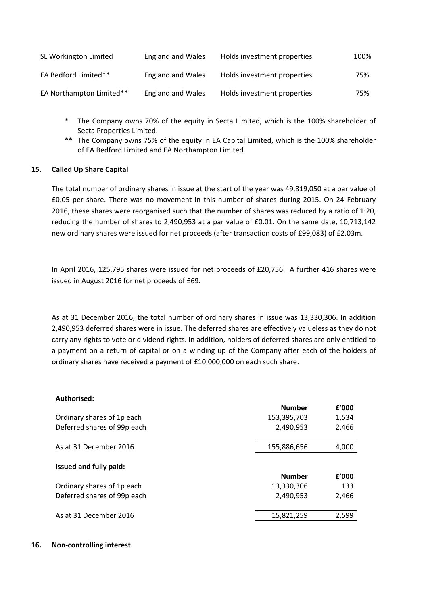| SL Workington Limited    | <b>England and Wales</b> | Holds investment properties | 100% |
|--------------------------|--------------------------|-----------------------------|------|
| EA Bedford Limited**     | <b>England and Wales</b> | Holds investment properties | 75%  |
| EA Northampton Limited** | <b>England and Wales</b> | Holds investment properties | 75%  |

- \* The Company owns 70% of the equity in Secta Limited, which is the 100% shareholder of Secta Properties Limited.
- \*\* The Company owns 75% of the equity in EA Capital Limited, which is the 100% shareholder of EA Bedford Limited and EA Northampton Limited.

## **15. Called Up Share Capital**

The total number of ordinary shares in issue at the start of the year was 49,819,050 at a par value of £0.05 per share. There was no movement in this number of shares during 2015. On 24 February 2016, these shares were reorganised such that the number of shares was reduced by a ratio of 1:20, reducing the number of shares to 2,490,953 at a par value of £0.01. On the same date, 10,713,142 new ordinary shares were issued for net proceeds (after transaction costs of £99,083) of £2.03m.

In April 2016, 125,795 shares were issued for net proceeds of £20,756. A further 416 shares were issued in August 2016 for net proceeds of £69.

As at 31 December 2016, the total number of ordinary shares in issue was 13,330,306. In addition 2,490,953 deferred shares were in issue. The deferred shares are effectively valueless as they do not carry any rights to vote or dividend rights. In addition, holders of deferred shares are only entitled to a payment on a return of capital or on a winding up of the Company after each of the holders of ordinary shares have received a payment of £10,000,000 on each such share.

## **Authorised:**

| Ordinary shares of 1p each<br>153,395,703<br>1,534<br>Deferred shares of 99p each<br>2,490,953<br>2,466<br>As at 31 December 2016<br>155,886,656<br>4,000<br>Issued and fully paid:<br><b>Number</b><br>£'000<br>Ordinary shares of 1p each<br>13,330,306<br>133<br>Deferred shares of 99p each<br>2,490,953<br>2,466<br>As at 31 December 2016<br>2,599<br>15,821,259 | <b>Number</b> | £'000 |
|------------------------------------------------------------------------------------------------------------------------------------------------------------------------------------------------------------------------------------------------------------------------------------------------------------------------------------------------------------------------|---------------|-------|
|                                                                                                                                                                                                                                                                                                                                                                        |               |       |
|                                                                                                                                                                                                                                                                                                                                                                        |               |       |
|                                                                                                                                                                                                                                                                                                                                                                        |               |       |
|                                                                                                                                                                                                                                                                                                                                                                        |               |       |
|                                                                                                                                                                                                                                                                                                                                                                        |               |       |
|                                                                                                                                                                                                                                                                                                                                                                        |               |       |
|                                                                                                                                                                                                                                                                                                                                                                        |               |       |

## **16. Non-controlling interest**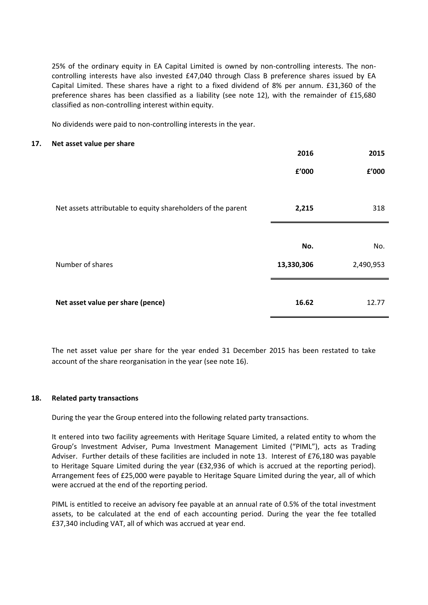25% of the ordinary equity in EA Capital Limited is owned by non-controlling interests. The noncontrolling interests have also invested £47,040 through Class B preference shares issued by EA Capital Limited. These shares have a right to a fixed dividend of 8% per annum. £31,360 of the preference shares has been classified as a liability (see note 12), with the remainder of £15,680 classified as non-controlling interest within equity.

No dividends were paid to non-controlling interests in the year.

#### **17. Net asset value per share**

|                                                              | 2016       | 2015      |
|--------------------------------------------------------------|------------|-----------|
|                                                              | £'000      | f'000     |
|                                                              |            |           |
| Net assets attributable to equity shareholders of the parent | 2,215      | 318       |
|                                                              |            |           |
|                                                              | No.        | No.       |
| Number of shares                                             | 13,330,306 | 2,490,953 |
|                                                              |            |           |
| Net asset value per share (pence)                            | 16.62      | 12.77     |

The net asset value per share for the year ended 31 December 2015 has been restated to take account of the share reorganisation in the year (see note 16).

#### **18. Related party transactions**

During the year the Group entered into the following related party transactions.

It entered into two facility agreements with Heritage Square Limited, a related entity to whom the Group's Investment Adviser, Puma Investment Management Limited ("PIML"), acts as Trading Adviser. Further details of these facilities are included in note 13. Interest of £76,180 was payable to Heritage Square Limited during the year (£32,936 of which is accrued at the reporting period). Arrangement fees of £25,000 were payable to Heritage Square Limited during the year, all of which were accrued at the end of the reporting period.

PIML is entitled to receive an advisory fee payable at an annual rate of 0.5% of the total investment assets, to be calculated at the end of each accounting period. During the year the fee totalled £37,340 including VAT, all of which was accrued at year end.